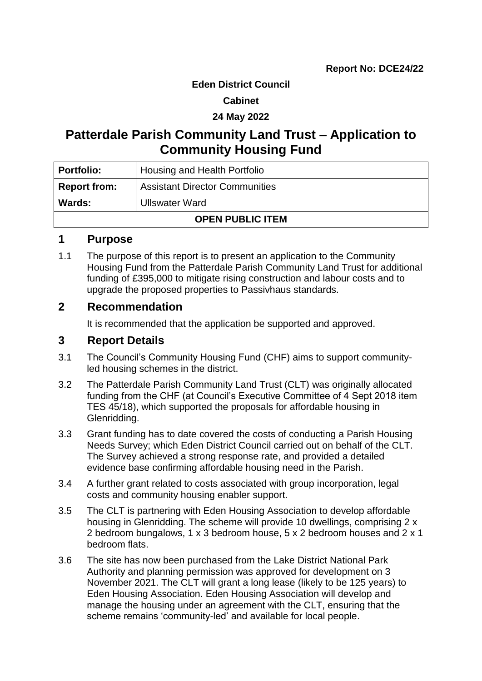#### **Eden District Council**

#### **Cabinet**

### **24 May 2022**

# **Patterdale Parish Community Land Trust – Application to Community Housing Fund**

| <b>Portfolio:</b>       | Housing and Health Portfolio          |  |
|-------------------------|---------------------------------------|--|
| <b>Report from:</b>     | <b>Assistant Director Communities</b> |  |
| Wards:                  | <b>Ullswater Ward</b>                 |  |
| <b>OPEN PUBLIC ITEM</b> |                                       |  |

### **1 Purpose**

1.1 The purpose of this report is to present an application to the Community Housing Fund from the Patterdale Parish Community Land Trust for additional funding of £395,000 to mitigate rising construction and labour costs and to upgrade the proposed properties to Passivhaus standards.

### **2 Recommendation**

It is recommended that the application be supported and approved.

### **3 Report Details**

- 3.1 The Council's Community Housing Fund (CHF) aims to support communityled housing schemes in the district.
- 3.2 The Patterdale Parish Community Land Trust (CLT) was originally allocated funding from the CHF (at Council's Executive Committee of 4 Sept 2018 item TES 45/18), which supported the proposals for affordable housing in Glenridding.
- 3.3 Grant funding has to date covered the costs of conducting a Parish Housing Needs Survey; which Eden District Council carried out on behalf of the CLT. The Survey achieved a strong response rate, and provided a detailed evidence base confirming affordable housing need in the Parish.
- 3.4 A further grant related to costs associated with group incorporation, legal costs and community housing enabler support.
- 3.5 The CLT is partnering with Eden Housing Association to develop affordable housing in Glenridding. The scheme will provide 10 dwellings, comprising 2 x 2 bedroom bungalows, 1 x 3 bedroom house, 5 x 2 bedroom houses and 2 x 1 bedroom flats.
- 3.6 The site has now been purchased from the Lake District National Park Authority and planning permission was approved for development on 3 November 2021. The CLT will grant a long lease (likely to be 125 years) to Eden Housing Association. Eden Housing Association will develop and manage the housing under an agreement with the CLT, ensuring that the scheme remains 'community-led' and available for local people.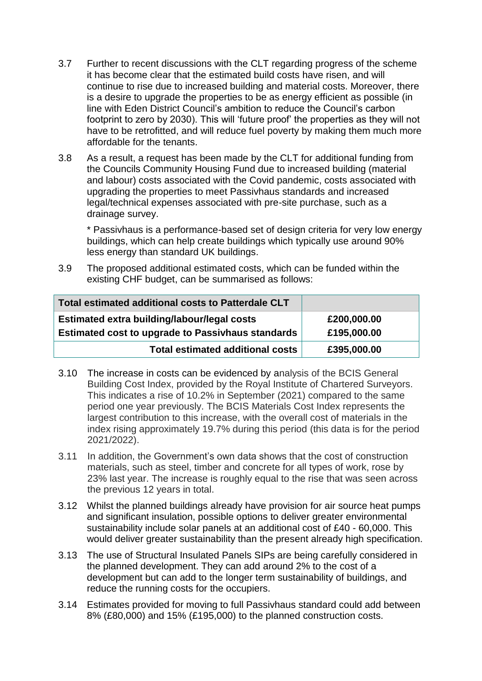- 3.7 Further to recent discussions with the CLT regarding progress of the scheme it has become clear that the estimated build costs have risen, and will continue to rise due to increased building and material costs. Moreover, there is a desire to upgrade the properties to be as energy efficient as possible (in line with Eden District Council's ambition to reduce the Council's carbon footprint to zero by 2030). This will 'future proof' the properties as they will not have to be retrofitted, and will reduce fuel poverty by making them much more affordable for the tenants.
- 3.8 As a result, a request has been made by the CLT for additional funding from the Councils Community Housing Fund due to increased building (material and labour) costs associated with the Covid pandemic, costs associated with upgrading the properties to meet Passivhaus standards and increased legal/technical expenses associated with pre-site purchase, such as a drainage survey.

\* Passivhaus is a performance-based set of design criteria for very low energy buildings, which can help create buildings which typically use around 90% less energy than standard UK buildings.

3.9 The proposed additional estimated costs, which can be funded within the existing CHF budget, can be summarised as follows:

| Total estimated additional costs to Patterdale CLT       |             |
|----------------------------------------------------------|-------------|
| Estimated extra building/labour/legal costs              | £200,000.00 |
| <b>Estimated cost to upgrade to Passivhaus standards</b> | £195,000.00 |
| <b>Total estimated additional costs</b>                  | £395,000.00 |

- 3.10 The increase in costs can be evidenced by analysis of the BCIS General Building Cost Index, provided by the Royal Institute of Chartered Surveyors. This indicates a rise of 10.2% in September (2021) compared to the same period one year previously. The BCIS Materials Cost Index represents the largest contribution to this increase, with the overall cost of materials in the index rising approximately 19.7% during this period (this data is for the period 2021/2022).
- 3.11 In addition, the Government's own data shows that the cost of construction materials, such as steel, timber and concrete for all types of work, rose by 23% last year. The increase is roughly equal to the rise that was seen across the previous 12 years in total.
- 3.12 Whilst the planned buildings already have provision for air source heat pumps and significant insulation, possible options to deliver greater environmental sustainability include solar panels at an additional cost of £40 - 60,000. This would deliver greater sustainability than the present already high specification.
- 3.13 The use of Structural Insulated Panels SIPs are being carefully considered in the planned development. They can add around 2% to the cost of a development but can add to the longer term sustainability of buildings, and reduce the running costs for the occupiers.
- 3.14 Estimates provided for moving to full Passivhaus standard could add between 8% (£80,000) and 15% (£195,000) to the planned construction costs.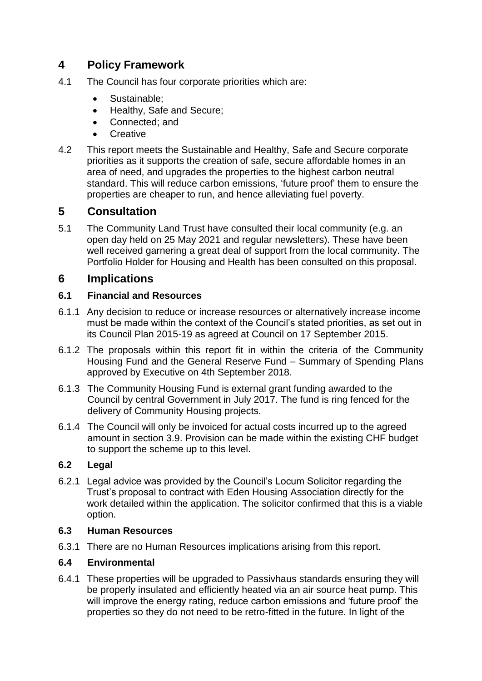# **4 Policy Framework**

- 4.1 The Council has four corporate priorities which are:
	- Sustainable:
	- Healthy, Safe and Secure;
	- Connected: and
	- **Creative**
- 4.2 This report meets the Sustainable and Healthy, Safe and Secure corporate priorities as it supports the creation of safe, secure affordable homes in an area of need, and upgrades the properties to the highest carbon neutral standard. This will reduce carbon emissions, 'future proof' them to ensure the properties are cheaper to run, and hence alleviating fuel poverty.

## **5 Consultation**

5.1 The Community Land Trust have consulted their local community (e.g. an open day held on 25 May 2021 and regular newsletters). These have been well received garnering a great deal of support from the local community. The Portfolio Holder for Housing and Health has been consulted on this proposal.

### **6 Implications**

### **6.1 Financial and Resources**

- 6.1.1 Any decision to reduce or increase resources or alternatively increase income must be made within the context of the Council's stated priorities, as set out in its Council Plan 2015-19 as agreed at Council on 17 September 2015.
- 6.1.2 The proposals within this report fit in within the criteria of the Community Housing Fund and the General Reserve Fund – Summary of Spending Plans approved by Executive on 4th September 2018.
- 6.1.3 The Community Housing Fund is external grant funding awarded to the Council by central Government in July 2017. The fund is ring fenced for the delivery of Community Housing projects.
- 6.1.4 The Council will only be invoiced for actual costs incurred up to the agreed amount in section 3.9. Provision can be made within the existing CHF budget to support the scheme up to this level.

### **6.2 Legal**

6.2.1 Legal advice was provided by the Council's Locum Solicitor regarding the Trust's proposal to contract with Eden Housing Association directly for the work detailed within the application. The solicitor confirmed that this is a viable option.

### **6.3 Human Resources**

6.3.1 There are no Human Resources implications arising from this report.

### **6.4 Environmental**

6.4.1 These properties will be upgraded to Passivhaus standards ensuring they will be properly insulated and efficiently heated via an air source heat pump. This will improve the energy rating, reduce carbon emissions and 'future proof' the properties so they do not need to be retro-fitted in the future. In light of the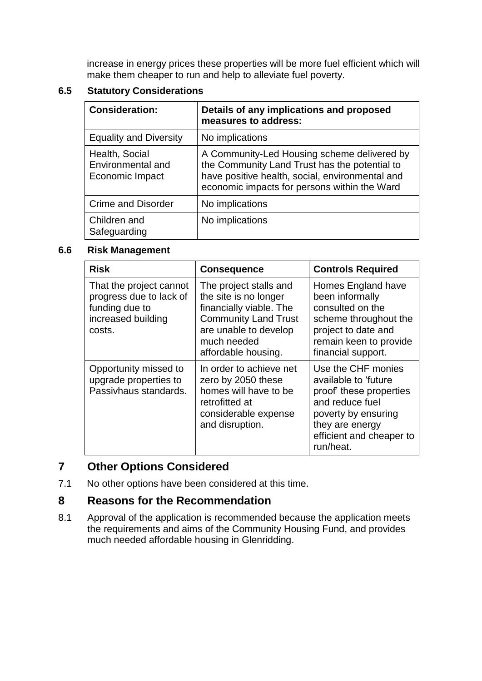increase in energy prices these properties will be more fuel efficient which will make them cheaper to run and help to alleviate fuel poverty.

#### **6.5 Statutory Considerations**

| <b>Consideration:</b>                                  | Details of any implications and proposed<br>measures to address:                                                                                                                                |
|--------------------------------------------------------|-------------------------------------------------------------------------------------------------------------------------------------------------------------------------------------------------|
| <b>Equality and Diversity</b>                          | No implications                                                                                                                                                                                 |
| Health, Social<br>Environmental and<br>Economic Impact | A Community-Led Housing scheme delivered by<br>the Community Land Trust has the potential to<br>have positive health, social, environmental and<br>economic impacts for persons within the Ward |
| <b>Crime and Disorder</b>                              | No implications                                                                                                                                                                                 |
| Children and<br>Safeguarding                           | No implications                                                                                                                                                                                 |

#### **6.6 Risk Management**

| <b>Risk</b>                                                                                          | <b>Consequence</b>                                                                                                                                                       | <b>Controls Required</b>                                                                                                                                                    |
|------------------------------------------------------------------------------------------------------|--------------------------------------------------------------------------------------------------------------------------------------------------------------------------|-----------------------------------------------------------------------------------------------------------------------------------------------------------------------------|
| That the project cannot<br>progress due to lack of<br>funding due to<br>increased building<br>costs. | The project stalls and<br>the site is no longer<br>financially viable. The<br><b>Community Land Trust</b><br>are unable to develop<br>much needed<br>affordable housing. | Homes England have<br>been informally<br>consulted on the<br>scheme throughout the<br>project to date and<br>remain keen to provide<br>financial support.                   |
| Opportunity missed to<br>upgrade properties to<br>Passivhaus standards.                              | In order to achieve net<br>zero by 2050 these<br>homes will have to be<br>retrofitted at<br>considerable expense<br>and disruption.                                      | Use the CHF monies<br>available to 'future<br>proof' these properties<br>and reduce fuel<br>poverty by ensuring<br>they are energy<br>efficient and cheaper to<br>run/heat. |

# **7 Other Options Considered**

7.1 No other options have been considered at this time.

### **8 Reasons for the Recommendation**

8.1 Approval of the application is recommended because the application meets the requirements and aims of the Community Housing Fund, and provides much needed affordable housing in Glenridding.